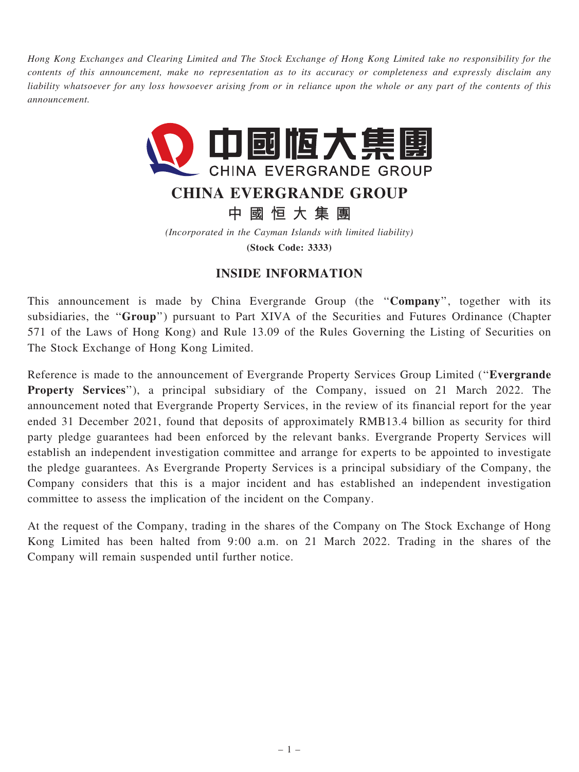Hong Kong Exchanges and Clearing Limited and The Stock Exchange of Hong Kong Limited take no responsibility for the contents of this announcement, make no representation as to its accuracy or completeness and expressly disclaim any liability whatsoever for any loss howsoever arising from or in reliance upon the whole or any part of the contents of this announcement.



## CHINA EVERGRANDE GROUP

中 國 恒 大 集 團

(Incorporated in the Cayman Islands with limited liability)

(Stock Code: 3333)

## INSIDE INFORMATION

This announcement is made by China Evergrande Group (the "Company", together with its subsidiaries, the "Group") pursuant to Part XIVA of the Securities and Futures Ordinance (Chapter 571 of the Laws of Hong Kong) and Rule 13.09 of the Rules Governing the Listing of Securities on The Stock Exchange of Hong Kong Limited.

Reference is made to the announcement of Evergrande Property Services Group Limited (''Evergrande Property Services"), a principal subsidiary of the Company, issued on 21 March 2022. The announcement noted that Evergrande Property Services, in the review of its financial report for the year ended 31 December 2021, found that deposits of approximately RMB13.4 billion as security for third party pledge guarantees had been enforced by the relevant banks. Evergrande Property Services will establish an independent investigation committee and arrange for experts to be appointed to investigate the pledge guarantees. As Evergrande Property Services is a principal subsidiary of the Company, the Company considers that this is a major incident and has established an independent investigation committee to assess the implication of the incident on the Company.

At the request of the Company, trading in the shares of the Company on The Stock Exchange of Hong Kong Limited has been halted from 9:00 a.m. on 21 March 2022. Trading in the shares of the Company will remain suspended until further notice.